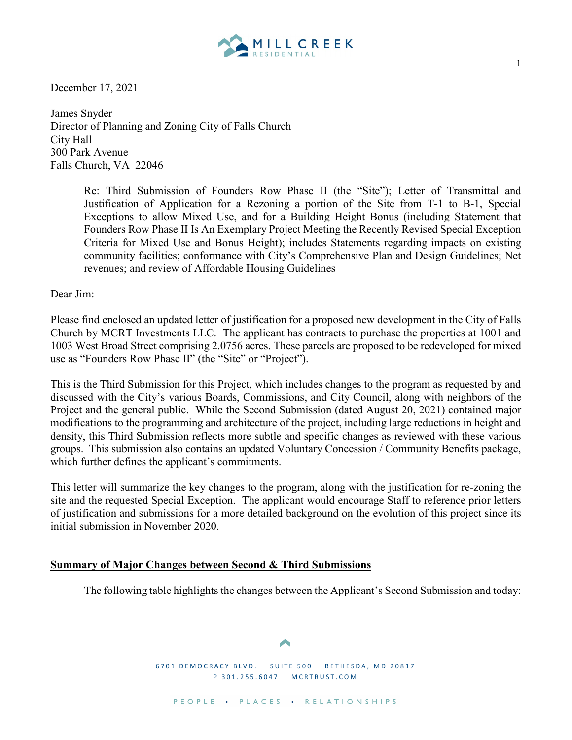

December 17, 2021

James Snyder Director of Planning and Zoning City of Falls Church City Hall 300 Park Avenue Falls Church, VA 22046

> Re: Third Submission of Founders Row Phase II (the "Site"); Letter of Transmittal and Justification of Application for a Rezoning a portion of the Site from T-1 to B-1, Special Exceptions to allow Mixed Use, and for a Building Height Bonus (including Statement that Founders Row Phase II Is An Exemplary Project Meeting the Recently Revised Special Exception Criteria for Mixed Use and Bonus Height); includes Statements regarding impacts on existing community facilities; conformance with City's Comprehensive Plan and Design Guidelines; Net revenues; and review of Affordable Housing Guidelines

Dear Jim:

Please find enclosed an updated letter of justification for a proposed new development in the City of Falls Church by MCRT Investments LLC. The applicant has contracts to purchase the properties at 1001 and 1003 West Broad Street comprising 2.0756 acres. These parcels are proposed to be redeveloped for mixed use as "Founders Row Phase II" (the "Site" or "Project").

This is the Third Submission for this Project, which includes changes to the program as requested by and discussed with the City's various Boards, Commissions, and City Council, along with neighbors of the Project and the general public. While the Second Submission (dated August 20, 2021) contained major modifications to the programming and architecture of the project, including large reductions in height and density, this Third Submission reflects more subtle and specific changes as reviewed with these various groups. This submission also contains an updated Voluntary Concession / Community Benefits package, which further defines the applicant's commitments.

This letter will summarize the key changes to the program, along with the justification for re-zoning the site and the requested Special Exception. The applicant would encourage Staff to reference prior letters of justification and submissions for a more detailed background on the evolution of this project since its initial submission in November 2020.

## **Summary of Major Changes between Second & Third Submissions**

The following table highlights the changes between the Applicant's Second Submission and today:

6701 DEMOCRACY BLVD. SUITE 500 BETHESDA, MD 20817 P 301.255.6047 MC RTRUST.COM

1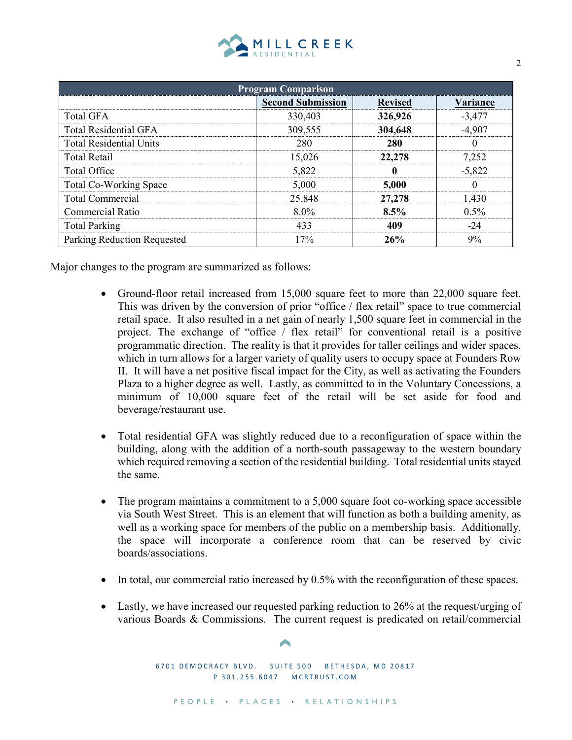| MILL CREEK |  |  |  |  |  |
|------------|--|--|--|--|--|
|            |  |  |  |  |  |

| <b>Program Comparison</b>      |                          |                |          |  |  |  |  |  |
|--------------------------------|--------------------------|----------------|----------|--|--|--|--|--|
|                                | <b>Second Submission</b> | <b>Revised</b> | Variance |  |  |  |  |  |
| Total GFA                      | 330,403                  | 326,926        | $-3.477$ |  |  |  |  |  |
| <b>Total Residential GFA</b>   | 309,555                  | 304,648        |          |  |  |  |  |  |
| <b>Total Residential Units</b> | 280                      |                |          |  |  |  |  |  |
| Total Retail                   | $-5.026$                 |                |          |  |  |  |  |  |
| Total Office                   | 5.822                    |                | -5.822   |  |  |  |  |  |
| Total Co-Working Space         | 5.000                    | 5.000          |          |  |  |  |  |  |
| <b>Total Commercial</b>        | 25.848                   | '.278          |          |  |  |  |  |  |
| <b>Commercial Ratio</b>        | $8.0\%$                  | $8.5\%$        | $0.5\%$  |  |  |  |  |  |
| <b>Total Parking</b>           |                          |                |          |  |  |  |  |  |
| Parking Reduction Requested    | 70 <sub>o</sub>          | 26%            |          |  |  |  |  |  |

Major changes to the program are summarized as follows:

- Ground-floor retail increased from 15,000 square feet to more than 22,000 square feet. This was driven by the conversion of prior "office / flex retail" space to true commercial retail space. It also resulted in a net gain of nearly 1,500 square feet in commercial in the project. The exchange of "office / flex retail" for conventional retail is a positive programmatic direction. The reality is that it provides for taller ceilings and wider spaces, which in turn allows for a larger variety of quality users to occupy space at Founders Row II. It will have a net positive fiscal impact for the City, as well as activating the Founders Plaza to a higher degree as well. Lastly, as committed to in the Voluntary Concessions, a minimum of 10,000 square feet of the retail will be set aside for food and beverage/restaurant use.
- Total residential GFA was slightly reduced due to a reconfiguration of space within the building, along with the addition of a north-south passageway to the western boundary which required removing a section of the residential building. Total residential units stayed the same.
- The program maintains a commitment to a 5,000 square foot co-working space accessible via South West Street. This is an element that will function as both a building amenity, as well as a working space for members of the public on a membership basis. Additionally, the space will incorporate a conference room that can be reserved by civic boards/associations.
- In total, our commercial ratio increased by 0.5% with the reconfiguration of these spaces.
- Lastly, we have increased our requested parking reduction to 26% at the request/urging of various Boards & Commissions. The current request is predicated on retail/commercial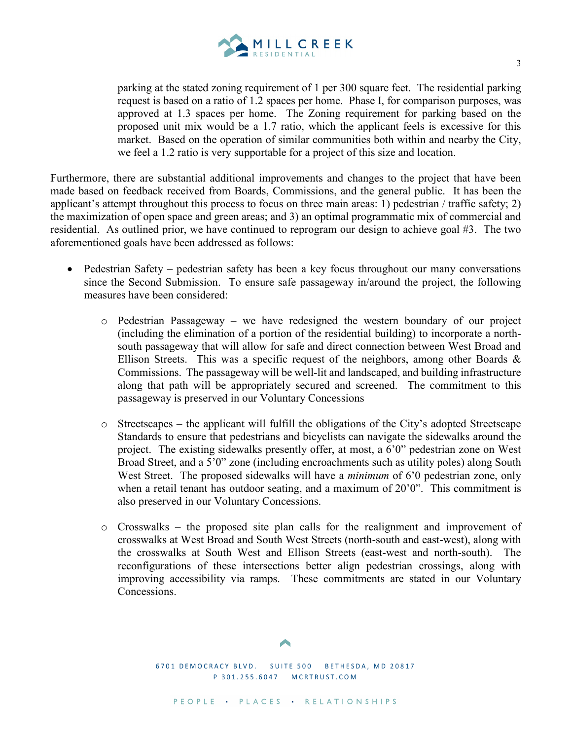

parking at the stated zoning requirement of 1 per 300 square feet. The residential parking request is based on a ratio of 1.2 spaces per home. Phase I, for comparison purposes, was approved at 1.3 spaces per home. The Zoning requirement for parking based on the proposed unit mix would be a 1.7 ratio, which the applicant feels is excessive for this market. Based on the operation of similar communities both within and nearby the City, we feel a 1.2 ratio is very supportable for a project of this size and location.

Furthermore, there are substantial additional improvements and changes to the project that have been made based on feedback received from Boards, Commissions, and the general public. It has been the applicant's attempt throughout this process to focus on three main areas: 1) pedestrian / traffic safety; 2) the maximization of open space and green areas; and 3) an optimal programmatic mix of commercial and residential. As outlined prior, we have continued to reprogram our design to achieve goal #3. The two aforementioned goals have been addressed as follows:

- Pedestrian Safety pedestrian safety has been a key focus throughout our many conversations since the Second Submission. To ensure safe passageway in/around the project, the following measures have been considered:
	- o Pedestrian Passageway we have redesigned the western boundary of our project (including the elimination of a portion of the residential building) to incorporate a northsouth passageway that will allow for safe and direct connection between West Broad and Ellison Streets. This was a specific request of the neighbors, among other Boards  $\&$ Commissions. The passageway will be well-lit and landscaped, and building infrastructure along that path will be appropriately secured and screened. The commitment to this passageway is preserved in our Voluntary Concessions
	- $\circ$  Streetscapes the applicant will fulfill the obligations of the City's adopted Streetscape Standards to ensure that pedestrians and bicyclists can navigate the sidewalks around the project. The existing sidewalks presently offer, at most, a 6'0" pedestrian zone on West Broad Street, and a 5'0" zone (including encroachments such as utility poles) along South West Street. The proposed sidewalks will have a *minimum* of 6<sup>'</sup>0 pedestrian zone, only when a retail tenant has outdoor seating, and a maximum of 20'0". This commitment is also preserved in our Voluntary Concessions.
	- o Crosswalks the proposed site plan calls for the realignment and improvement of crosswalks at West Broad and South West Streets (north-south and east-west), along with the crosswalks at South West and Ellison Streets (east-west and north-south). The reconfigurations of these intersections better align pedestrian crossings, along with improving accessibility via ramps. These commitments are stated in our Voluntary Concessions.

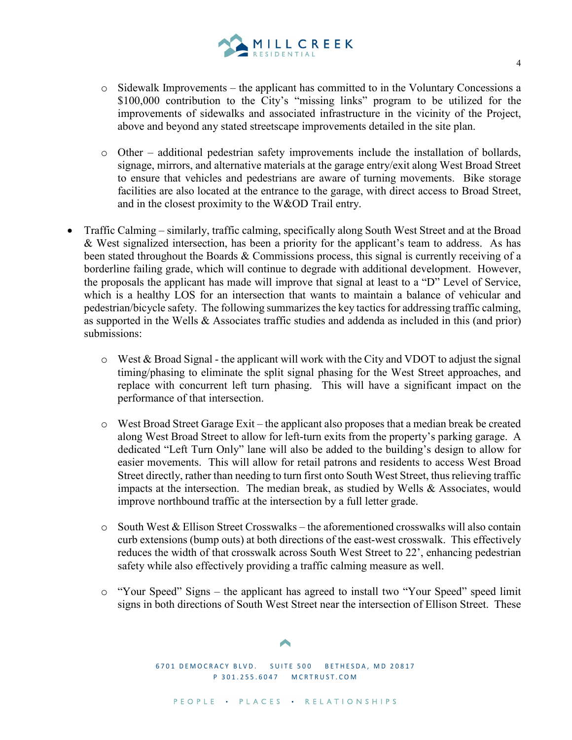

- $\circ$  Sidewalk Improvements the applicant has committed to in the Voluntary Concessions a \$100,000 contribution to the City's "missing links" program to be utilized for the improvements of sidewalks and associated infrastructure in the vicinity of the Project, above and beyond any stated streetscape improvements detailed in the site plan.
- $\circ$  Other additional pedestrian safety improvements include the installation of bollards, signage, mirrors, and alternative materials at the garage entry/exit along West Broad Street to ensure that vehicles and pedestrians are aware of turning movements. Bike storage facilities are also located at the entrance to the garage, with direct access to Broad Street, and in the closest proximity to the W&OD Trail entry.
- Traffic Calming similarly, traffic calming, specifically along South West Street and at the Broad & West signalized intersection, has been a priority for the applicant's team to address. As has been stated throughout the Boards & Commissions process, this signal is currently receiving of a borderline failing grade, which will continue to degrade with additional development. However, the proposals the applicant has made will improve that signal at least to a "D" Level of Service, which is a healthy LOS for an intersection that wants to maintain a balance of vehicular and pedestrian/bicycle safety. The following summarizes the key tactics for addressing traffic calming, as supported in the Wells & Associates traffic studies and addenda as included in this (and prior) submissions:
	- o West & Broad Signal the applicant will work with the City and VDOT to adjust the signal timing/phasing to eliminate the split signal phasing for the West Street approaches, and replace with concurrent left turn phasing. This will have a significant impact on the performance of that intersection.
	- $\circ$  West Broad Street Garage Exit the applicant also proposes that a median break be created along West Broad Street to allow for left-turn exits from the property's parking garage. A dedicated "Left Turn Only" lane will also be added to the building's design to allow for easier movements. This will allow for retail patrons and residents to access West Broad Street directly, rather than needing to turn first onto South West Street, thus relieving traffic impacts at the intersection. The median break, as studied by Wells & Associates, would improve northbound traffic at the intersection by a full letter grade.
	- $\circ$  South West & Ellison Street Crosswalks the aforementioned crosswalks will also contain curb extensions (bump outs) at both directions of the east-west crosswalk. This effectively reduces the width of that crosswalk across South West Street to 22', enhancing pedestrian safety while also effectively providing a traffic calming measure as well.
	- o "Your Speed" Signs the applicant has agreed to install two "Your Speed" speed limit signs in both directions of South West Street near the intersection of Ellison Street. These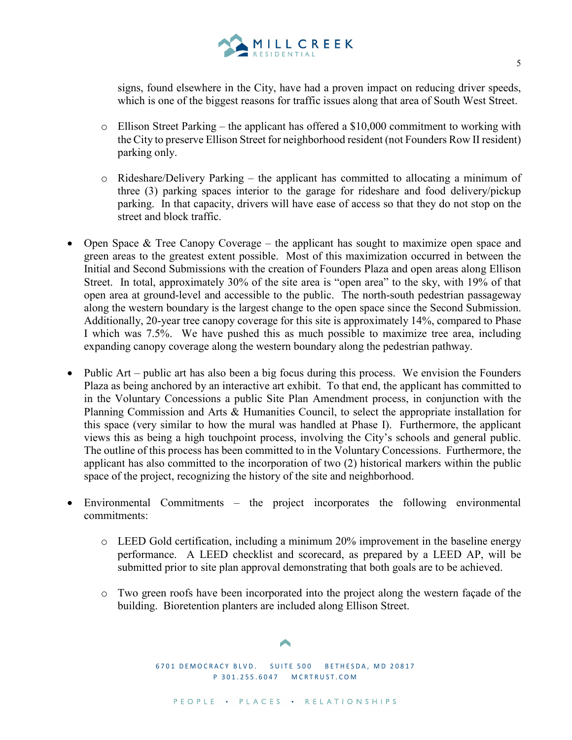

signs, found elsewhere in the City, have had a proven impact on reducing driver speeds, which is one of the biggest reasons for traffic issues along that area of South West Street.

- $\circ$  Ellison Street Parking the applicant has offered a \$10,000 commitment to working with the City to preserve Ellison Street for neighborhood resident (not Founders Row II resident) parking only.
- o Rideshare/Delivery Parking the applicant has committed to allocating a minimum of three (3) parking spaces interior to the garage for rideshare and food delivery/pickup parking. In that capacity, drivers will have ease of access so that they do not stop on the street and block traffic.
- Open Space  $\&$  Tree Canopy Coverage the applicant has sought to maximize open space and green areas to the greatest extent possible. Most of this maximization occurred in between the Initial and Second Submissions with the creation of Founders Plaza and open areas along Ellison Street. In total, approximately 30% of the site area is "open area" to the sky, with 19% of that open area at ground-level and accessible to the public. The north-south pedestrian passageway along the western boundary is the largest change to the open space since the Second Submission. Additionally, 20-year tree canopy coverage for this site is approximately 14%, compared to Phase I which was 7.5%. We have pushed this as much possible to maximize tree area, including expanding canopy coverage along the western boundary along the pedestrian pathway.
- Public Art public art has also been a big focus during this process. We envision the Founders Plaza as being anchored by an interactive art exhibit. To that end, the applicant has committed to in the Voluntary Concessions a public Site Plan Amendment process, in conjunction with the Planning Commission and Arts & Humanities Council, to select the appropriate installation for this space (very similar to how the mural was handled at Phase I). Furthermore, the applicant views this as being a high touchpoint process, involving the City's schools and general public. The outline of this process has been committed to in the Voluntary Concessions. Furthermore, the applicant has also committed to the incorporation of two (2) historical markers within the public space of the project, recognizing the history of the site and neighborhood.
- Environmental Commitments the project incorporates the following environmental commitments:
	- $\circ$  LEED Gold certification, including a minimum 20% improvement in the baseline energy performance. A LEED checklist and scorecard, as prepared by a LEED AP, will be submitted prior to site plan approval demonstrating that both goals are to be achieved.
	- o Two green roofs have been incorporated into the project along the western façade of the building. Bioretention planters are included along Ellison Street.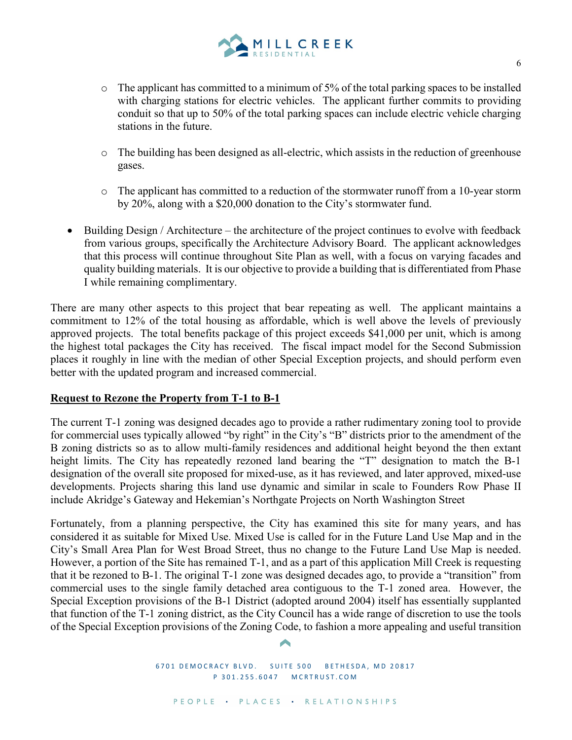

- $\circ$  The applicant has committed to a minimum of 5% of the total parking spaces to be installed with charging stations for electric vehicles. The applicant further commits to providing conduit so that up to 50% of the total parking spaces can include electric vehicle charging stations in the future.
- o The building has been designed as all-electric, which assists in the reduction of greenhouse gases.
- o The applicant has committed to a reduction of the stormwater runoff from a 10-year storm by 20%, along with a \$20,000 donation to the City's stormwater fund.
- Building Design / Architecture the architecture of the project continues to evolve with feedback from various groups, specifically the Architecture Advisory Board. The applicant acknowledges that this process will continue throughout Site Plan as well, with a focus on varying facades and quality building materials. It is our objective to provide a building that is differentiated from Phase I while remaining complimentary.

There are many other aspects to this project that bear repeating as well. The applicant maintains a commitment to 12% of the total housing as affordable, which is well above the levels of previously approved projects. The total benefits package of this project exceeds \$41,000 per unit, which is among the highest total packages the City has received. The fiscal impact model for the Second Submission places it roughly in line with the median of other Special Exception projects, and should perform even better with the updated program and increased commercial.

## **Request to Rezone the Property from T-1 to B-1**

The current T-1 zoning was designed decades ago to provide a rather rudimentary zoning tool to provide for commercial uses typically allowed "by right" in the City's "B" districts prior to the amendment of the B zoning districts so as to allow multi-family residences and additional height beyond the then extant height limits. The City has repeatedly rezoned land bearing the "T" designation to match the B-1 designation of the overall site proposed for mixed-use, as it has reviewed, and later approved, mixed-use developments. Projects sharing this land use dynamic and similar in scale to Founders Row Phase II include Akridge's Gateway and Hekemian's Northgate Projects on North Washington Street

Fortunately, from a planning perspective, the City has examined this site for many years, and has considered it as suitable for Mixed Use. Mixed Use is called for in the Future Land Use Map and in the City's Small Area Plan for West Broad Street, thus no change to the Future Land Use Map is needed. However, a portion of the Site has remained T-1, and as a part of this application Mill Creek is requesting that it be rezoned to B-1. The original T-1 zone was designed decades ago, to provide a "transition" from commercial uses to the single family detached area contiguous to the T-1 zoned area. However, the Special Exception provisions of the B-1 District (adopted around 2004) itself has essentially supplanted that function of the T-1 zoning district, as the City Council has a wide range of discretion to use the tools of the Special Exception provisions of the Zoning Code, to fashion a more appealing and useful transition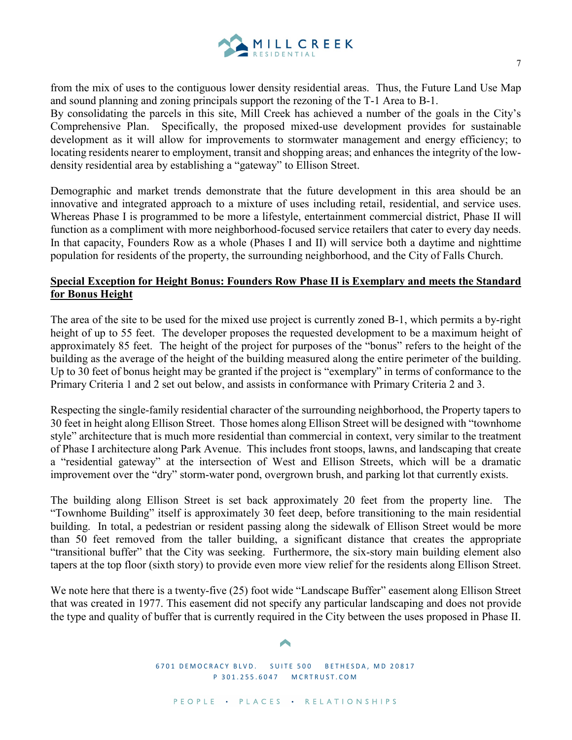

from the mix of uses to the contiguous lower density residential areas. Thus, the Future Land Use Map and sound planning and zoning principals support the rezoning of the T-1 Area to B-1.

By consolidating the parcels in this site, Mill Creek has achieved a number of the goals in the City's Comprehensive Plan. Specifically, the proposed mixed-use development provides for sustainable development as it will allow for improvements to stormwater management and energy efficiency; to locating residents nearer to employment, transit and shopping areas; and enhances the integrity of the lowdensity residential area by establishing a "gateway" to Ellison Street.

Demographic and market trends demonstrate that the future development in this area should be an innovative and integrated approach to a mixture of uses including retail, residential, and service uses. Whereas Phase I is programmed to be more a lifestyle, entertainment commercial district, Phase II will function as a compliment with more neighborhood-focused service retailers that cater to every day needs. In that capacity, Founders Row as a whole (Phases I and II) will service both a daytime and nighttime population for residents of the property, the surrounding neighborhood, and the City of Falls Church.

## **Special Exception for Height Bonus: Founders Row Phase II is Exemplary and meets the Standard for Bonus Height**

The area of the site to be used for the mixed use project is currently zoned B-1, which permits a by-right height of up to 55 feet. The developer proposes the requested development to be a maximum height of approximately 85 feet. The height of the project for purposes of the "bonus" refers to the height of the building as the average of the height of the building measured along the entire perimeter of the building. Up to 30 feet of bonus height may be granted if the project is "exemplary" in terms of conformance to the Primary Criteria 1 and 2 set out below, and assists in conformance with Primary Criteria 2 and 3.

Respecting the single-family residential character of the surrounding neighborhood, the Property tapers to 30 feet in height along Ellison Street. Those homes along Ellison Street will be designed with "townhome style" architecture that is much more residential than commercial in context, very similar to the treatment of Phase I architecture along Park Avenue. This includes front stoops, lawns, and landscaping that create a "residential gateway" at the intersection of West and Ellison Streets, which will be a dramatic improvement over the "dry" storm-water pond, overgrown brush, and parking lot that currently exists.

The building along Ellison Street is set back approximately 20 feet from the property line. The "Townhome Building" itself is approximately 30 feet deep, before transitioning to the main residential building. In total, a pedestrian or resident passing along the sidewalk of Ellison Street would be more than 50 feet removed from the taller building, a significant distance that creates the appropriate "transitional buffer" that the City was seeking. Furthermore, the six-story main building element also tapers at the top floor (sixth story) to provide even more view relief for the residents along Ellison Street.

We note here that there is a twenty-five (25) foot wide "Landscape Buffer" easement along Ellison Street that was created in 1977. This easement did not specify any particular landscaping and does not provide the type and quality of buffer that is currently required in the City between the uses proposed in Phase II.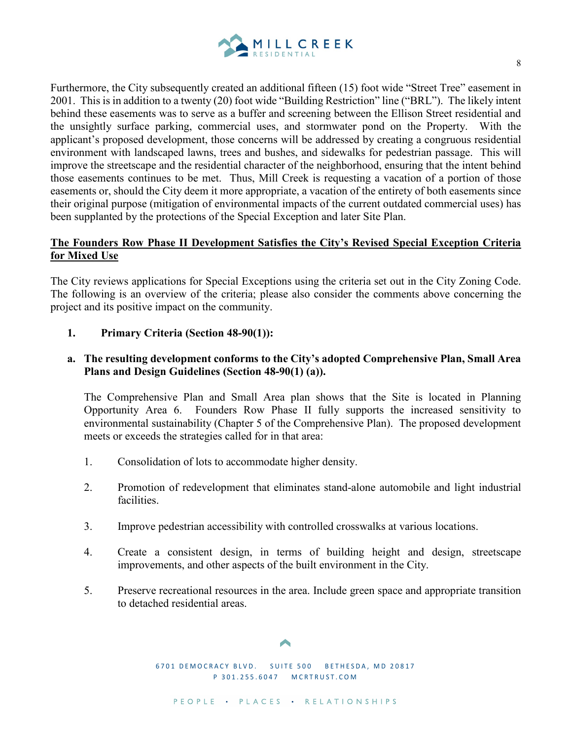

Furthermore, the City subsequently created an additional fifteen (15) foot wide "Street Tree" easement in 2001. This is in addition to a twenty (20) foot wide "Building Restriction" line ("BRL"). The likely intent behind these easements was to serve as a buffer and screening between the Ellison Street residential and the unsightly surface parking, commercial uses, and stormwater pond on the Property. With the applicant's proposed development, those concerns will be addressed by creating a congruous residential environment with landscaped lawns, trees and bushes, and sidewalks for pedestrian passage. This will improve the streetscape and the residential character of the neighborhood, ensuring that the intent behind those easements continues to be met. Thus, Mill Creek is requesting a vacation of a portion of those easements or, should the City deem it more appropriate, a vacation of the entirety of both easements since their original purpose (mitigation of environmental impacts of the current outdated commercial uses) has been supplanted by the protections of the Special Exception and later Site Plan.

# **The Founders Row Phase II Development Satisfies the City's Revised Special Exception Criteria for Mixed Use**

The City reviews applications for Special Exceptions using the criteria set out in the City Zoning Code. The following is an overview of the criteria; please also consider the comments above concerning the project and its positive impact on the community.

## **1. Primary Criteria (Section 48-90(1)):**

# **a. The resulting development conforms to the City's adopted Comprehensive Plan, Small Area Plans and Design Guidelines (Section 48-90(1) (a)).**

The Comprehensive Plan and Small Area plan shows that the Site is located in Planning Opportunity Area 6. Founders Row Phase II fully supports the increased sensitivity to environmental sustainability (Chapter 5 of the Comprehensive Plan). The proposed development meets or exceeds the strategies called for in that area:

- 1. Consolidation of lots to accommodate higher density.
- 2. Promotion of redevelopment that eliminates stand-alone automobile and light industrial facilities.
- 3. Improve pedestrian accessibility with controlled crosswalks at various locations.
- 4. Create a consistent design, in terms of building height and design, streetscape improvements, and other aspects of the built environment in the City.
- 5. Preserve recreational resources in the area. Include green space and appropriate transition to detached residential areas.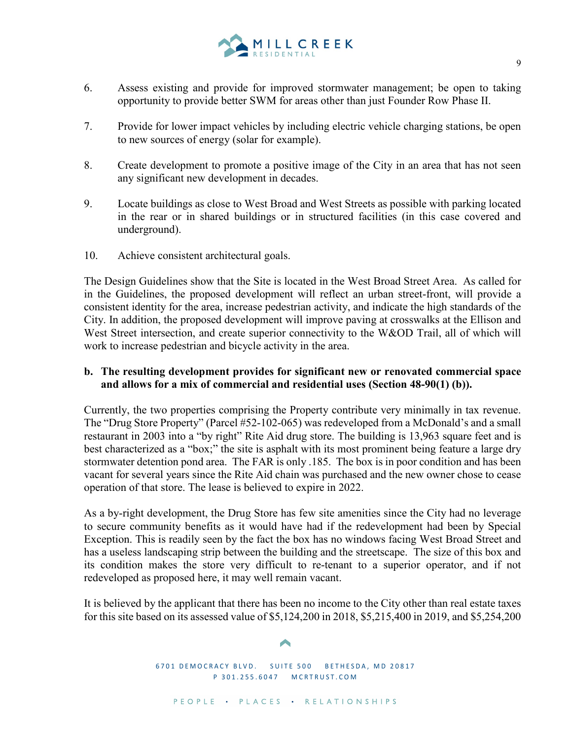

- 6. Assess existing and provide for improved stormwater management; be open to taking opportunity to provide better SWM for areas other than just Founder Row Phase II.
- 7. Provide for lower impact vehicles by including electric vehicle charging stations, be open to new sources of energy (solar for example).
- 8. Create development to promote a positive image of the City in an area that has not seen any significant new development in decades.
- 9. Locate buildings as close to West Broad and West Streets as possible with parking located in the rear or in shared buildings or in structured facilities (in this case covered and underground).
- 10. Achieve consistent architectural goals.

The Design Guidelines show that the Site is located in the West Broad Street Area. As called for in the Guidelines, the proposed development will reflect an urban street-front, will provide a consistent identity for the area, increase pedestrian activity, and indicate the high standards of the City. In addition, the proposed development will improve paving at crosswalks at the Ellison and West Street intersection, and create superior connectivity to the W&OD Trail, all of which will work to increase pedestrian and bicycle activity in the area.

# **b. The resulting development provides for significant new or renovated commercial space and allows for a mix of commercial and residential uses (Section 48-90(1) (b)).**

Currently, the two properties comprising the Property contribute very minimally in tax revenue. The "Drug Store Property" (Parcel #52-102-065) was redeveloped from a McDonald's and a small restaurant in 2003 into a "by right" Rite Aid drug store. The building is 13,963 square feet and is best characterized as a "box;" the site is asphalt with its most prominent being feature a large dry stormwater detention pond area. The FAR is only .185. The box is in poor condition and has been vacant for several years since the Rite Aid chain was purchased and the new owner chose to cease operation of that store. The lease is believed to expire in 2022.

As a by-right development, the Drug Store has few site amenities since the City had no leverage to secure community benefits as it would have had if the redevelopment had been by Special Exception. This is readily seen by the fact the box has no windows facing West Broad Street and has a useless landscaping strip between the building and the streetscape. The size of this box and its condition makes the store very difficult to re-tenant to a superior operator, and if not redeveloped as proposed here, it may well remain vacant.

It is believed by the applicant that there has been no income to the City other than real estate taxes for this site based on its assessed value of \$5,124,200 in 2018, \$5,215,400 in 2019, and \$5,254,200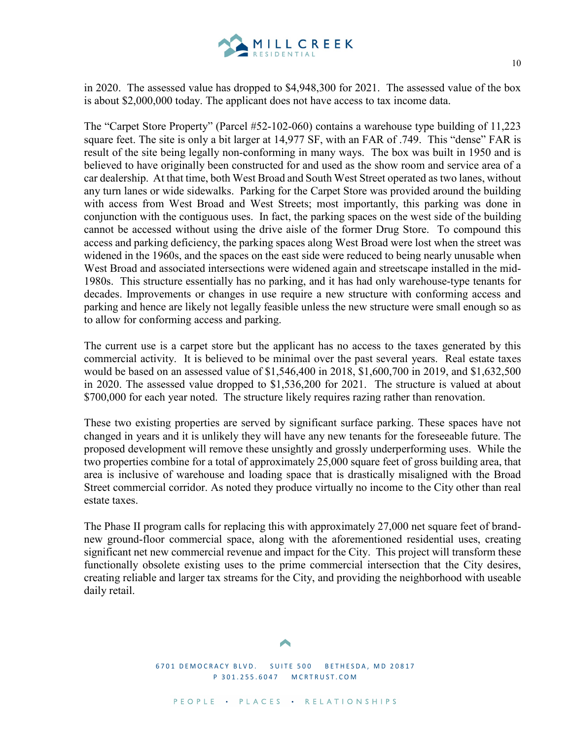

in 2020. The assessed value has dropped to \$4,948,300 for 2021. The assessed value of the box is about \$2,000,000 today. The applicant does not have access to tax income data.

The "Carpet Store Property" (Parcel #52-102-060) contains a warehouse type building of 11,223 square feet. The site is only a bit larger at 14,977 SF, with an FAR of .749. This "dense" FAR is result of the site being legally non-conforming in many ways. The box was built in 1950 and is believed to have originally been constructed for and used as the show room and service area of a car dealership. At that time, both West Broad and South West Street operated as two lanes, without any turn lanes or wide sidewalks. Parking for the Carpet Store was provided around the building with access from West Broad and West Streets; most importantly, this parking was done in conjunction with the contiguous uses. In fact, the parking spaces on the west side of the building cannot be accessed without using the drive aisle of the former Drug Store. To compound this access and parking deficiency, the parking spaces along West Broad were lost when the street was widened in the 1960s, and the spaces on the east side were reduced to being nearly unusable when West Broad and associated intersections were widened again and streetscape installed in the mid-1980s. This structure essentially has no parking, and it has had only warehouse-type tenants for decades. Improvements or changes in use require a new structure with conforming access and parking and hence are likely not legally feasible unless the new structure were small enough so as to allow for conforming access and parking.

The current use is a carpet store but the applicant has no access to the taxes generated by this commercial activity. It is believed to be minimal over the past several years. Real estate taxes would be based on an assessed value of \$1,546,400 in 2018, \$1,600,700 in 2019, and \$1,632,500 in 2020. The assessed value dropped to \$1,536,200 for 2021. The structure is valued at about \$700,000 for each year noted. The structure likely requires razing rather than renovation.

These two existing properties are served by significant surface parking. These spaces have not changed in years and it is unlikely they will have any new tenants for the foreseeable future. The proposed development will remove these unsightly and grossly underperforming uses. While the two properties combine for a total of approximately 25,000 square feet of gross building area, that area is inclusive of warehouse and loading space that is drastically misaligned with the Broad Street commercial corridor. As noted they produce virtually no income to the City other than real estate taxes.

The Phase II program calls for replacing this with approximately 27,000 net square feet of brandnew ground-floor commercial space, along with the aforementioned residential uses, creating significant net new commercial revenue and impact for the City. This project will transform these functionally obsolete existing uses to the prime commercial intersection that the City desires, creating reliable and larger tax streams for the City, and providing the neighborhood with useable daily retail.

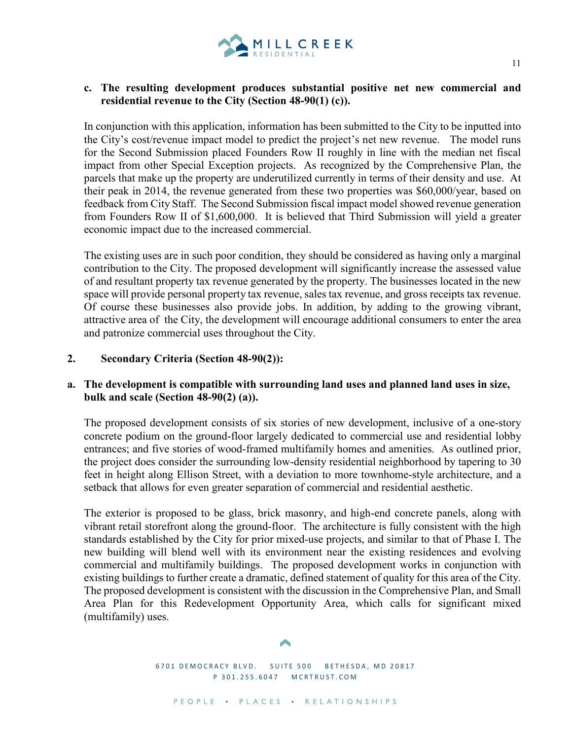

### **c. The resulting development produces substantial positive net new commercial and residential revenue to the City (Section 48-90(1) (c)).**

In conjunction with this application, information has been submitted to the City to be inputted into the City's cost/revenue impact model to predict the project's net new revenue. The model runs for the Second Submission placed Founders Row II roughly in line with the median net fiscal impact from other Special Exception projects. As recognized by the Comprehensive Plan, the parcels that make up the property are underutilized currently in terms of their density and use. At their peak in 2014, the revenue generated from these two properties was \$60,000/year, based on feedback from City Staff. The Second Submission fiscal impact model showed revenue generation from Founders Row II of \$1,600,000. It is believed that Third Submission will yield a greater economic impact due to the increased commercial.

The existing uses are in such poor condition, they should be considered as having only a marginal contribution to the City. The proposed development will significantly increase the assessed value of and resultant property tax revenue generated by the property. The businesses located in the new space will provide personal property tax revenue, sales tax revenue, and gross receipts tax revenue. Of course these businesses also provide jobs. In addition, by adding to the growing vibrant, attractive area of the City, the development will encourage additional consumers to enter the area and patronize commercial uses throughout the City.

### **2. Secondary Criteria (Section 48-90(2)):**

## **a. The development is compatible with surrounding land uses and planned land uses in size, bulk and scale (Section 48-90(2) (a)).**

The proposed development consists of six stories of new development, inclusive of a one-story concrete podium on the ground-floor largely dedicated to commercial use and residential lobby entrances; and five stories of wood-framed multifamily homes and amenities. As outlined prior, the project does consider the surrounding low-density residential neighborhood by tapering to 30 feet in height along Ellison Street, with a deviation to more townhome-style architecture, and a setback that allows for even greater separation of commercial and residential aesthetic.

The exterior is proposed to be glass, brick masonry, and high-end concrete panels, along with vibrant retail storefront along the ground-floor. The architecture is fully consistent with the high standards established by the City for prior mixed-use projects, and similar to that of Phase I. The new building will blend well with its environment near the existing residences and evolving commercial and multifamily buildings. The proposed development works in conjunction with existing buildings to further create a dramatic, defined statement of quality for this area of the City. The proposed development is consistent with the discussion in the Comprehensive Plan, and Small Area Plan for this Redevelopment Opportunity Area, which calls for significant mixed (multifamily) uses.

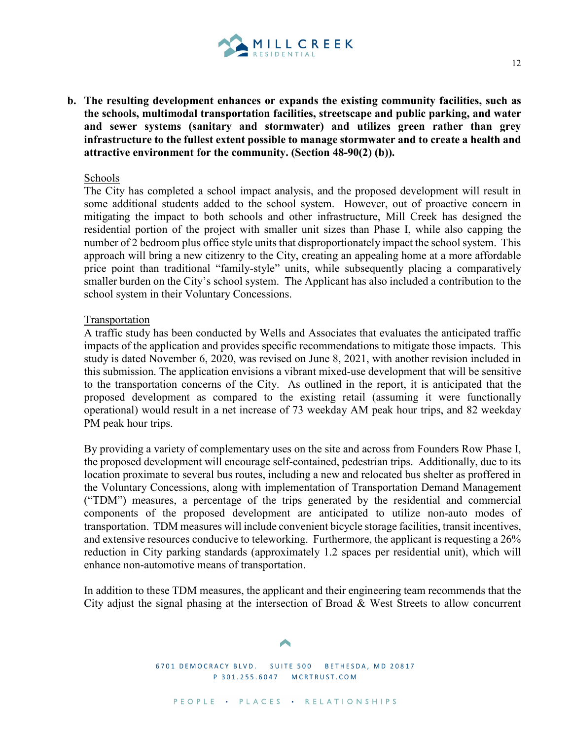

**b. The resulting development enhances or expands the existing community facilities, such as the schools, multimodal transportation facilities, streetscape and public parking, and water and sewer systems (sanitary and stormwater) and utilizes green rather than grey infrastructure to the fullest extent possible to manage stormwater and to create a health and attractive environment for the community. (Section 48-90(2) (b)).**

#### Schools

The City has completed a school impact analysis, and the proposed development will result in some additional students added to the school system. However, out of proactive concern in mitigating the impact to both schools and other infrastructure, Mill Creek has designed the residential portion of the project with smaller unit sizes than Phase I, while also capping the number of 2 bedroom plus office style units that disproportionately impact the school system. This approach will bring a new citizenry to the City, creating an appealing home at a more affordable price point than traditional "family-style" units, while subsequently placing a comparatively smaller burden on the City's school system. The Applicant has also included a contribution to the school system in their Voluntary Concessions.

### Transportation

A traffic study has been conducted by Wells and Associates that evaluates the anticipated traffic impacts of the application and provides specific recommendations to mitigate those impacts. This study is dated November 6, 2020, was revised on June 8, 2021, with another revision included in this submission. The application envisions a vibrant mixed-use development that will be sensitive to the transportation concerns of the City. As outlined in the report, it is anticipated that the proposed development as compared to the existing retail (assuming it were functionally operational) would result in a net increase of 73 weekday AM peak hour trips, and 82 weekday PM peak hour trips.

By providing a variety of complementary uses on the site and across from Founders Row Phase I, the proposed development will encourage self-contained, pedestrian trips. Additionally, due to its location proximate to several bus routes, including a new and relocated bus shelter as proffered in the Voluntary Concessions, along with implementation of Transportation Demand Management ("TDM") measures, a percentage of the trips generated by the residential and commercial components of the proposed development are anticipated to utilize non-auto modes of transportation. TDM measures will include convenient bicycle storage facilities, transit incentives, and extensive resources conducive to teleworking. Furthermore, the applicant is requesting a 26% reduction in City parking standards (approximately 1.2 spaces per residential unit), which will enhance non-automotive means of transportation.

In addition to these TDM measures, the applicant and their engineering team recommends that the City adjust the signal phasing at the intersection of Broad & West Streets to allow concurrent

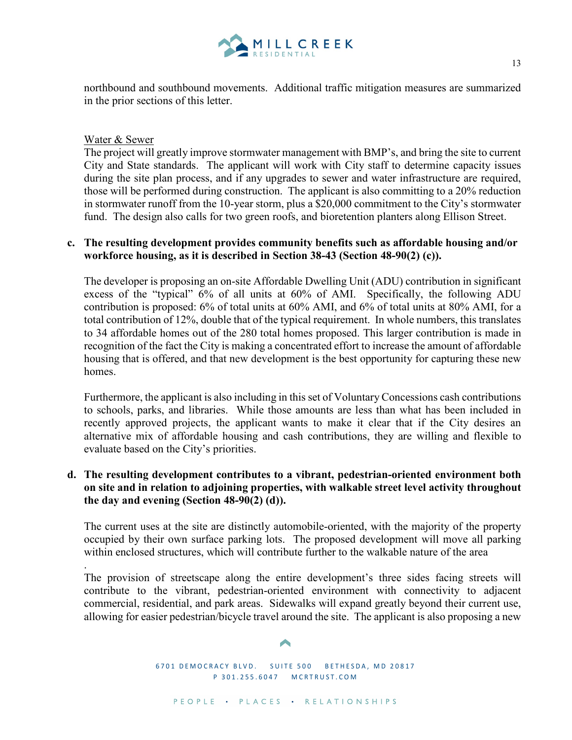

northbound and southbound movements. Additional traffic mitigation measures are summarized in the prior sections of this letter.

### Water & Sewer

The project will greatly improve stormwater management with BMP's, and bring the site to current City and State standards. The applicant will work with City staff to determine capacity issues during the site plan process, and if any upgrades to sewer and water infrastructure are required, those will be performed during construction. The applicant is also committing to a 20% reduction in stormwater runoff from the 10-year storm, plus a \$20,000 commitment to the City's stormwater fund. The design also calls for two green roofs, and bioretention planters along Ellison Street.

# **c. The resulting development provides community benefits such as affordable housing and/or workforce housing, as it is described in Section 38-43 (Section 48-90(2) (c)).**

The developer is proposing an on-site Affordable Dwelling Unit (ADU) contribution in significant excess of the "typical" 6% of all units at 60% of AMI. Specifically, the following ADU contribution is proposed: 6% of total units at 60% AMI, and 6% of total units at 80% AMI, for a total contribution of 12%, double that of the typical requirement. In whole numbers, this translates to 34 affordable homes out of the 280 total homes proposed. This larger contribution is made in recognition of the fact the City is making a concentrated effort to increase the amount of affordable housing that is offered, and that new development is the best opportunity for capturing these new homes.

Furthermore, the applicant is also including in this set of Voluntary Concessions cash contributions to schools, parks, and libraries. While those amounts are less than what has been included in recently approved projects, the applicant wants to make it clear that if the City desires an alternative mix of affordable housing and cash contributions, they are willing and flexible to evaluate based on the City's priorities.

## **d. The resulting development contributes to a vibrant, pedestrian-oriented environment both on site and in relation to adjoining properties, with walkable street level activity throughout the day and evening (Section 48-90(2) (d)).**

The current uses at the site are distinctly automobile-oriented, with the majority of the property occupied by their own surface parking lots. The proposed development will move all parking within enclosed structures, which will contribute further to the walkable nature of the area

. The provision of streetscape along the entire development's three sides facing streets will contribute to the vibrant, pedestrian-oriented environment with connectivity to adjacent commercial, residential, and park areas. Sidewalks will expand greatly beyond their current use, allowing for easier pedestrian/bicycle travel around the site. The applicant is also proposing a new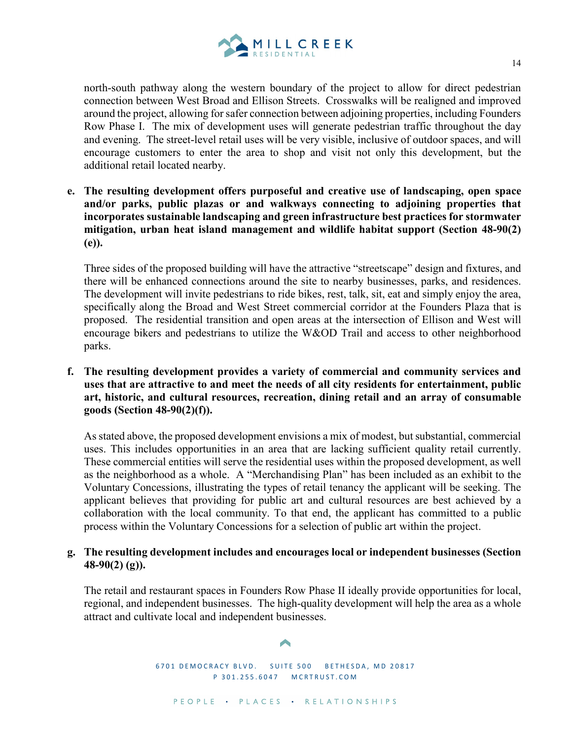

north-south pathway along the western boundary of the project to allow for direct pedestrian connection between West Broad and Ellison Streets. Crosswalks will be realigned and improved around the project, allowing for safer connection between adjoining properties, including Founders Row Phase I. The mix of development uses will generate pedestrian traffic throughout the day and evening. The street-level retail uses will be very visible, inclusive of outdoor spaces, and will encourage customers to enter the area to shop and visit not only this development, but the additional retail located nearby.

**e. The resulting development offers purposeful and creative use of landscaping, open space and/or parks, public plazas or and walkways connecting to adjoining properties that incorporates sustainable landscaping and green infrastructure best practices for stormwater mitigation, urban heat island management and wildlife habitat support (Section 48-90(2) (e)).**

Three sides of the proposed building will have the attractive "streetscape" design and fixtures, and there will be enhanced connections around the site to nearby businesses, parks, and residences. The development will invite pedestrians to ride bikes, rest, talk, sit, eat and simply enjoy the area, specifically along the Broad and West Street commercial corridor at the Founders Plaza that is proposed. The residential transition and open areas at the intersection of Ellison and West will encourage bikers and pedestrians to utilize the W&OD Trail and access to other neighborhood parks.

**f. The resulting development provides a variety of commercial and community services and uses that are attractive to and meet the needs of all city residents for entertainment, public art, historic, and cultural resources, recreation, dining retail and an array of consumable goods (Section 48-90(2)(f)).**

As stated above, the proposed development envisions a mix of modest, but substantial, commercial uses. This includes opportunities in an area that are lacking sufficient quality retail currently. These commercial entities will serve the residential uses within the proposed development, as well as the neighborhood as a whole. A "Merchandising Plan" has been included as an exhibit to the Voluntary Concessions, illustrating the types of retail tenancy the applicant will be seeking. The applicant believes that providing for public art and cultural resources are best achieved by a collaboration with the local community. To that end, the applicant has committed to a public process within the Voluntary Concessions for a selection of public art within the project.

## **g. The resulting development includes and encourages local or independent businesses (Section 48-90(2) (g)).**

The retail and restaurant spaces in Founders Row Phase II ideally provide opportunities for local, regional, and independent businesses. The high-quality development will help the area as a whole attract and cultivate local and independent businesses.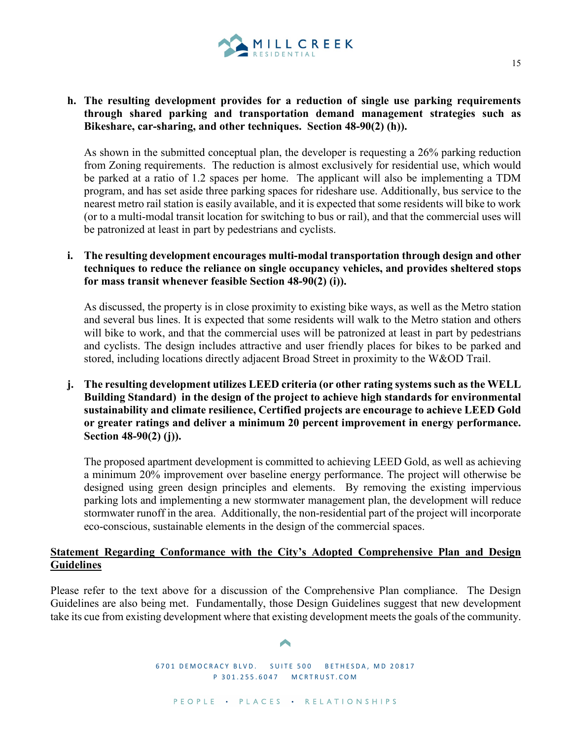

# **h. The resulting development provides for a reduction of single use parking requirements through shared parking and transportation demand management strategies such as Bikeshare, car-sharing, and other techniques. Section 48-90(2) (h)).**

As shown in the submitted conceptual plan, the developer is requesting a 26% parking reduction from Zoning requirements. The reduction is almost exclusively for residential use, which would be parked at a ratio of 1.2 spaces per home. The applicant will also be implementing a TDM program, and has set aside three parking spaces for rideshare use. Additionally, bus service to the nearest metro rail station is easily available, and it is expected that some residents will bike to work (or to a multi-modal transit location for switching to bus or rail), and that the commercial uses will be patronized at least in part by pedestrians and cyclists.

**i. The resulting development encourages multi-modal transportation through design and other techniques to reduce the reliance on single occupancy vehicles, and provides sheltered stops for mass transit whenever feasible Section 48-90(2) (i)).**

As discussed, the property is in close proximity to existing bike ways, as well as the Metro station and several bus lines. It is expected that some residents will walk to the Metro station and others will bike to work, and that the commercial uses will be patronized at least in part by pedestrians and cyclists. The design includes attractive and user friendly places for bikes to be parked and stored, including locations directly adjacent Broad Street in proximity to the W&OD Trail.

**j. The resulting development utilizes LEED criteria (or other rating systems such as the WELL Building Standard) in the design of the project to achieve high standards for environmental sustainability and climate resilience, Certified projects are encourage to achieve LEED Gold or greater ratings and deliver a minimum 20 percent improvement in energy performance. Section 48-90(2) (j)).**

The proposed apartment development is committed to achieving LEED Gold, as well as achieving a minimum 20% improvement over baseline energy performance. The project will otherwise be designed using green design principles and elements.By removing the existing impervious parking lots and implementing a new stormwater management plan, the development will reduce stormwater runoff in the area. Additionally, the non-residential part of the project will incorporate eco-conscious, sustainable elements in the design of the commercial spaces.

## **Statement Regarding Conformance with the City's Adopted Comprehensive Plan and Design Guidelines**

Please refer to the text above for a discussion of the Comprehensive Plan compliance. The Design Guidelines are also being met. Fundamentally, those Design Guidelines suggest that new development take its cue from existing development where that existing development meets the goals of the community.